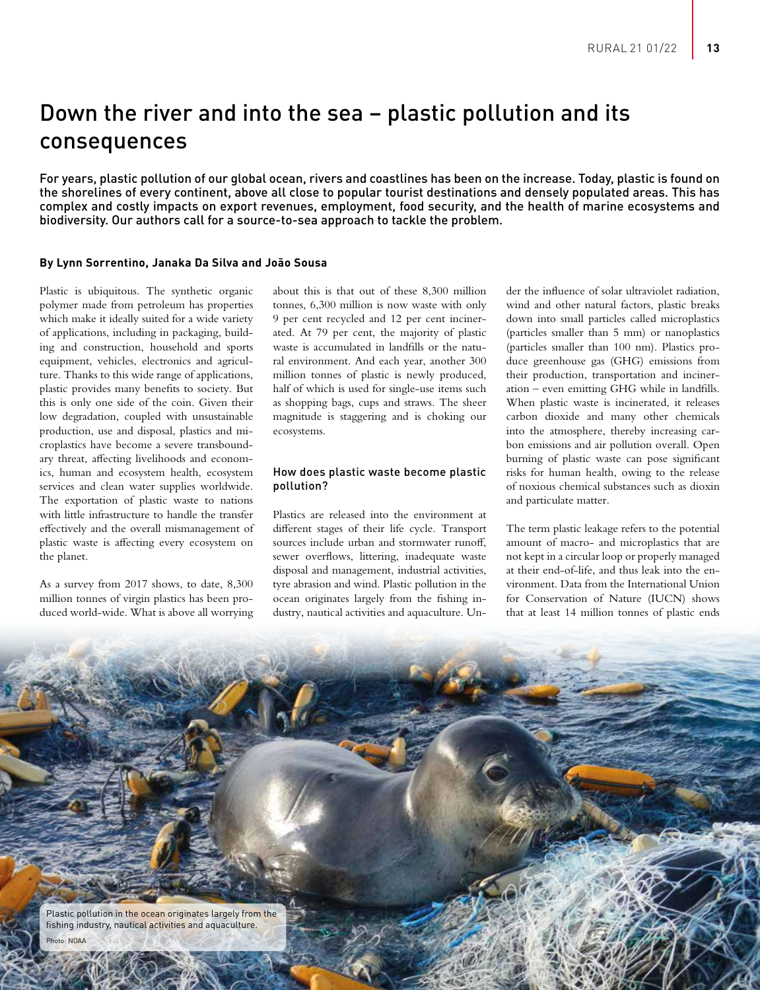# Down the river and into the sea – plastic pollution and its consequences

For years, plastic pollution of our global ocean, rivers and coastlines has been on the increase. Today, plastic is found on the shorelines of every continent, above all close to popular tourist destinations and densely populated areas. This has complex and costly impacts on export revenues, employment, food security, and the health of marine ecosystems and biodiversity. Our authors call for a source-to-sea approach to tackle the problem.

# **By Lynn Sorrentino, Janaka Da Silva and João Sousa**

Plastic is ubiquitous. The synthetic organic polymer made from petroleum has properties which make it ideally suited for a wide variety of applications, including in packaging, building and construction, household and sports equipment, vehicles, electronics and agriculture. Thanks to this wide range of applications, plastic provides many benefits to society. But this is only one side of the coin. Given their low degradation, coupled with unsustainable production, use and disposal, plastics and microplastics have become a severe transboundary threat, affecting livelihoods and economics, human and ecosystem health, ecosystem services and clean water supplies worldwide. The exportation of plastic waste to nations with little infrastructure to handle the transfer effectively and the overall mismanagement of plastic waste is affecting every ecosystem on the planet.

As a survey from 2017 shows, to date, 8,300 million tonnes of virgin plastics has been produced world-wide. What is above all worrying about this is that out of these 8,300 million tonnes, 6,300 million is now waste with only 9 per cent recycled and 12 per cent incinerated. At 79 per cent, the majority of plastic waste is accumulated in landfills or the natural environment. And each year, another 300 million tonnes of plastic is newly produced, half of which is used for single-use items such as shopping bags, cups and straws. The sheer magnitude is staggering and is choking our ecosystems.

## How does plastic waste become plastic pollution?

Plastics are released into the environment at different stages of their life cycle. Transport sources include urban and stormwater runoff, sewer overflows, littering, inadequate waste disposal and management, industrial activities, tyre abrasion and wind. Plastic pollution in the ocean originates largely from the fishing industry, nautical activities and aquaculture. Under the influence of solar ultraviolet radiation, wind and other natural factors, plastic breaks down into small particles called microplastics (particles smaller than 5 mm) or nanoplastics (particles smaller than 100 nm). Plastics produce greenhouse gas (GHG) emissions from their production, transportation and incineration – even emitting GHG while in landfills. When plastic waste is incinerated, it releases carbon dioxide and many other chemicals into the atmosphere, thereby increasing carbon emissions and air pollution overall. Open burning of plastic waste can pose significant risks for human health, owing to the release of noxious chemical substances such as dioxin and particulate matter.

The term plastic leakage refers to the potential amount of macro- and microplastics that are not kept in a circular loop or properly managed at their end-of-life, and thus leak into the environment. Data from the International Union for Conservation of Nature (IUCN) shows that at least 14 million tonnes of plastic ends

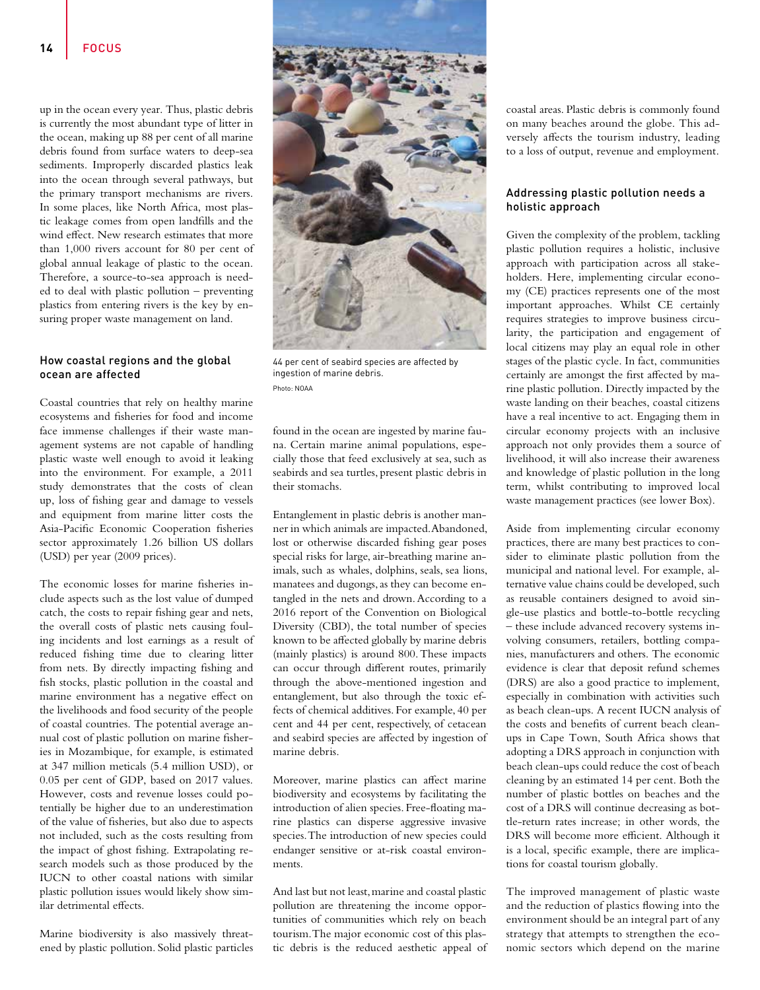up in the ocean every year. Thus, plastic debris is currently the most abundant type of litter in the ocean, making up 88 per cent of all marine debris found from surface waters to deep-sea sediments. Improperly discarded plastics leak into the ocean through several pathways, but the primary transport mechanisms are rivers. In some places, like North Africa, most plastic leakage comes from open landfills and the wind effect. New research estimates that more than 1,000 rivers account for 80 per cent of global annual leakage of plastic to the ocean. Therefore, a source-to-sea approach is needed to deal with plastic pollution – preventing plastics from entering rivers is the key by ensuring proper waste management on land.

#### How coastal regions and the global ocean are affected

Coastal countries that rely on healthy marine ecosystems and fisheries for food and income face immense challenges if their waste management systems are not capable of handling plastic waste well enough to avoid it leaking into the environment. For example, a 2011 study demonstrates that the costs of clean up, loss of fishing gear and damage to vessels and equipment from marine litter costs the Asia-Pacific Economic Cooperation fisheries sector approximately 1.26 billion US dollars (USD) per year (2009 prices).

The economic losses for marine fisheries include aspects such as the lost value of dumped catch, the costs to repair fishing gear and nets, the overall costs of plastic nets causing fouling incidents and lost earnings as a result of reduced fishing time due to clearing litter from nets. By directly impacting fishing and fish stocks, plastic pollution in the coastal and marine environment has a negative effect on the livelihoods and food security of the people of coastal countries. The potential average annual cost of plastic pollution on marine fisheries in Mozambique, for example, is estimated at 347 million meticals (5.4 million USD), or 0.05 per cent of GDP, based on 2017 values. However, costs and revenue losses could potentially be higher due to an underestimation of the value of fisheries, but also due to aspects not included, such as the costs resulting from the impact of ghost fishing. Extrapolating research models such as those produced by the IUCN to other coastal nations with similar plastic pollution issues would likely show similar detrimental effects.

Marine biodiversity is also massively threatened by plastic pollution. Solid plastic particles



44 per cent of seabird species are affected by ingestion of marine debris. Photo: NOAA

found in the ocean are ingested by marine fauna. Certain marine animal populations, especially those that feed exclusively at sea, such as seabirds and sea turtles, present plastic debris in their stomachs.

Entanglement in plastic debris is another manner in which animals are impacted. Abandoned, lost or otherwise discarded fishing gear poses special risks for large, air-breathing marine animals, such as whales, dolphins, seals, sea lions, manatees and dugongs, as they can become entangled in the nets and drown. According to a 2016 report of the Convention on Biological Diversity (CBD), the total number of species known to be affected globally by marine debris (mainly plastics) is around 800. These impacts can occur through different routes, primarily through the above-mentioned ingestion and entanglement, but also through the toxic effects of chemical additives. For example, 40 per cent and 44 per cent, respectively, of cetacean and seabird species are affected by ingestion of marine debris.

Moreover, marine plastics can affect marine biodiversity and ecosystems by facilitating the introduction of alien species. Free-floating marine plastics can disperse aggressive invasive species. The introduction of new species could endanger sensitive or at-risk coastal environments.

And last but not least, marine and coastal plastic pollution are threatening the income opportunities of communities which rely on beach tourism. The major economic cost of this plastic debris is the reduced aesthetic appeal of coastal areas. Plastic debris is commonly found on many beaches around the globe. This adversely affects the tourism industry, leading to a loss of output, revenue and employment.

## Addressing plastic pollution needs a holistic approach

Given the complexity of the problem, tackling plastic pollution requires a holistic, inclusive approach with participation across all stakeholders. Here, implementing circular economy (CE) practices represents one of the most important approaches. Whilst CE certainly requires strategies to improve business circularity, the participation and engagement of local citizens may play an equal role in other stages of the plastic cycle. In fact, communities certainly are amongst the first affected by marine plastic pollution. Directly impacted by the waste landing on their beaches, coastal citizens have a real incentive to act. Engaging them in circular economy projects with an inclusive approach not only provides them a source of livelihood, it will also increase their awareness and knowledge of plastic pollution in the long term, whilst contributing to improved local waste management practices (see lower Box).

Aside from implementing circular economy practices, there are many best practices to consider to eliminate plastic pollution from the municipal and national level. For example, alternative value chains could be developed, such as reusable containers designed to avoid single-use plastics and bottle-to-bottle recycling – these include advanced recovery systems involving consumers, retailers, bottling companies, manufacturers and others. The economic evidence is clear that deposit refund schemes (DRS) are also a good practice to implement, especially in combination with activities such as beach clean-ups. A recent IUCN analysis of the costs and benefits of current beach cleanups in Cape Town, South Africa shows that adopting a DRS approach in conjunction with beach clean-ups could reduce the cost of beach cleaning by an estimated 14 per cent. Both the number of plastic bottles on beaches and the cost of a DRS will continue decreasing as bottle-return rates increase; in other words, the DRS will become more efficient. Although it is a local, specific example, there are implications for coastal tourism globally.

The improved management of plastic waste and the reduction of plastics flowing into the environment should be an integral part of any strategy that attempts to strengthen the economic sectors which depend on the marine